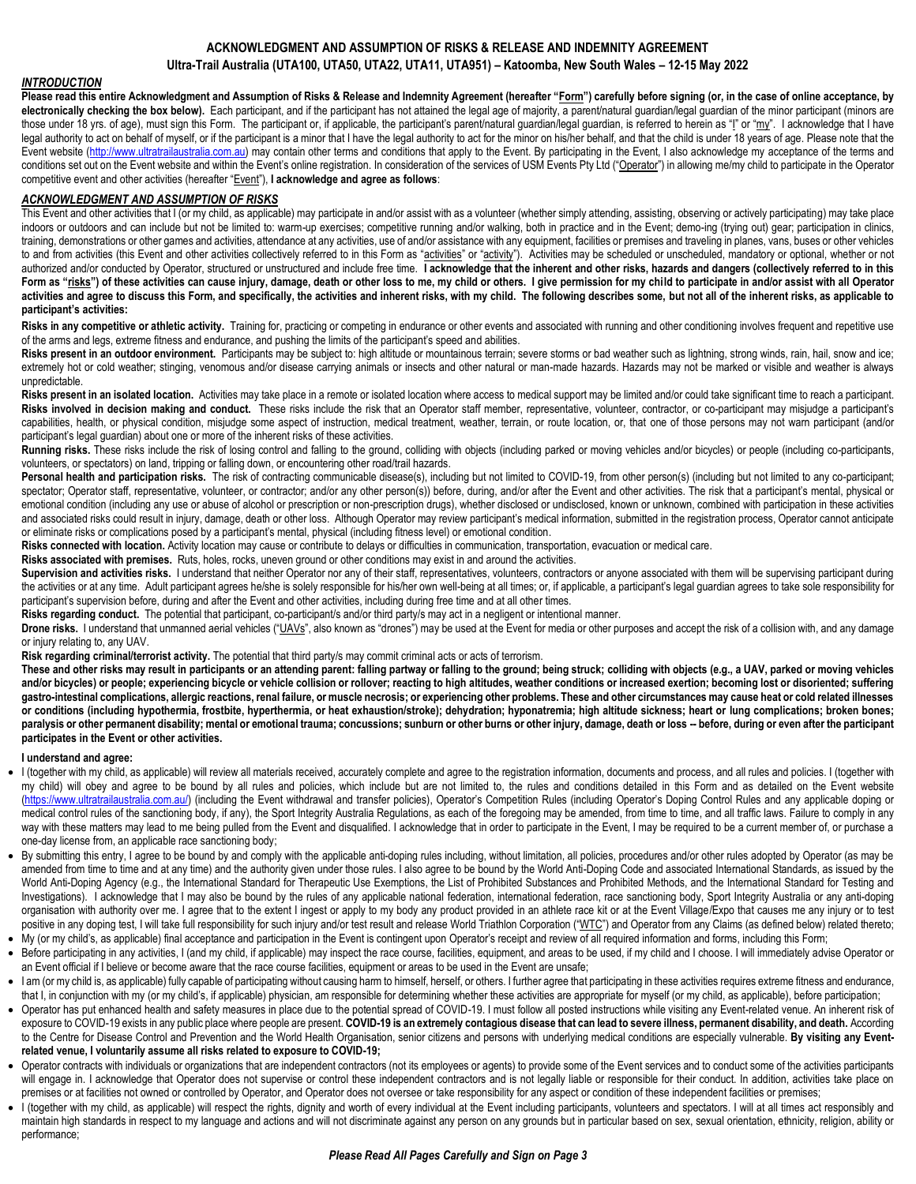# **ACKNOWLEDGMENT AND ASSUMPTION OF RISKS & RELEASE AND INDEMNITY AGREEMENT Ultra-Trail Australia (UTA100, UTA50, UTA22, UTA11, UTA951) – Katoomba, New South Wales – 12-15 May 2022**

## *INTRODUCTION*

**Please read this entire Acknowledgment and Assumption of Risks & Release and Indemnity Agreement (hereafter "Form") carefully before signing (or, in the case of online acceptance, by**  electronically checking the box below). Each participant, and if the participant has not attained the legal age of majority, a parent/natural quardian/legal guardian of the minor participant (minors are those under 18 yrs. of age), must sign this Form. The participant or, if applicable, the participant's parent/natural guardian/legal guardian, is referred to herein as "I" or "my". I acknowledge that I have legal authority to act on behalf of myself, or if the participant is a minor that I have the legal authority to act for the minor on his/her behalf, and that the child is under 18 years of age. Please note that the Event website [\(http://www.ultratrailaustralia.com.au\)](http://www.ultratrailaustralia.com.au/) may contain other terms and conditions that apply to the Event. By participating in the Event, I also acknowledge my acceptance of the terms and conditions set out on the Event website and within the Event's online registration. In consideration of the services of USM Events Pty Ltd ("Operator") in allowing me/my child to participate in the Operator competitive event and other activities (hereafter "Event"), **I acknowledge and agree as follows**:

### *ACKNOWLEDGMENT AND ASSUMPTION OF RISKS*

This Event and other activities that I (or my child, as applicable) may participate in and/or assist with as a volunteer (whether simply attending, assisting, observing or actively participating) may take place indoors or outdoors and can include but not be limited to: warm-up exercises; competitive running and/or walking, both in practice and in the Event; demo-ing (trying out) gear; participation in clinics, training, demonstrations or other games and activities, attendance at any activities, use of and/or assistance with any equipment, facilities or premises and traveling in planes, vans, buses or other vehicles to and from activities (this Event and other activities collectively referred to in this Form as "activities" or "activities"). Activities may be scheduled or unscheduled, mandatory or optional, whether or not authorized and/or conducted by Operator, structured or unstructured and include free time. **I acknowledge that the inherent and other risks, hazards and dangers (collectively referred to in this**  Form as "risks") of these activities can cause injury, damage, death or other loss to me, my child or others. I give permission for my child to participate in and/or assist with all Operator **activities and agree to discuss this Form, and specifically, the activities and inherent risks, with my child. The following describes some, but not all of the inherent risks, as applicable to participant's activities:**

Risks in any competitive or athletic activity. Training for, practicing or competing in endurance or other events and associated with running and other conditioning involves frequent and repetitive use of the arms and legs, extreme fitness and endurance, and pushing the limits of the participant's speed and abilities.

Risks present in an outdoor environment. Participants may be subject to: high altitude or mountainous terrain; severe storms or bad weather such as lightning, strong winds, rain, hail, snow and ice; extremely hot or cold weather; stinging, venomous and/or disease carrying animals or insects and other natural or man-made hazards. Hazards may not be marked or visible and weather is always unpredictable.

Risks present in an isolated location. Activities may take place in a remote or isolated location where access to medical support may be limited and/or could take significant time to reach a participant. Risks involved in decision making and conduct. These risks include the risk that an Operator staff member, representative, volunteer, contractor, or co-participant may misjudge a participant's capabilities, health, or physical condition, misjudge some aspect of instruction, medical treatment, weather, terrain, or route location, or, that one of those persons may not warn participant (and/or participant's legal guardian) about one or more of the inherent risks of these activities.

Running risks. These risks include the risk of losing control and falling to the ground, colliding with objects (including parked or moving vehicles and/or bicycles) or people (including co-participants, volunteers, or spectators) on land, tripping or falling down, or encountering other road/trail hazards.

Personal health and participation risks. The risk of contracting communicable disease(s), including but not limited to COVID-19, from other person(s) (including but not limited to any co-participant; spectator; Operator staff, representative, volunteer, or contractor; and/or any other person(s)) before, during, and/or after the Event and other activities. The risk that a participant's mental, physical or emotional condition (including any use or abuse of alcohol or prescription or non-prescription drugs), whether disclosed or undisclosed, known or unknown, combined with participation in these activities and associated risks could result in injury, damage, death or other loss. Although Operator may review participant's medical information, submitted in the registration process, Operator cannot anticipate or eliminate risks or complications posed by a participant's mental, physical (including fitness level) or emotional condition.

Risks connected with location. Activity location may cause or contribute to delays or difficulties in communication, transportation, evacuation or medical care.

**Risks associated with premises.** Ruts, holes, rocks, uneven ground or other conditions may exist in and around the activities.

Supervision and activities risks. I understand that neither Operator nor any of their staff, representatives, volunteers, contractors or anyone associated with them will be supervising participant during the activities or at any time. Adult participant agrees he/she is solely responsible for his/her own well-being at all times; or, if applicable, a participant's legal guardian agrees to take sole responsibility for participant's supervision before, during and after the Event and other activities, including during free time and at all other times.

Risks regarding conduct. The potential that participant, co-participant/s and/or third party/s may act in a negligent or intentional manner.

Drone risks. I understand that unmanned aerial vehicles ("UAVs", also known as "drones") may be used at the Event for media or other purposes and accept the risk of a collision with, and any damage or injury relating to, any UAV.

**Risk regarding criminal/terrorist activity.** The potential that third party/s may commit criminal acts or acts of terrorism.

**These and other risks may result in participants or an attending parent: falling partway or falling to the ground; being struck; colliding with objects (e.g., a UAV, parked or moving vehicles**  and/or bicycles) or people; experiencing bicycle or vehicle collision or rollover; reacting to high altitudes, weather conditions or increased exertion; becoming lost or disoriented; suffering **gastro-intestinal complications, allergic reactions, renal failure, or muscle necrosis; or experiencing other problems. These and other circumstances may cause heat or cold related illnesses or conditions (including hypothermia, frostbite, hyperthermia, or heat exhaustion/stroke); dehydration; hyponatremia; high altitude sickness; heart or lung complications; broken bones; paralysis or other permanent disability; mental or emotional trauma; concussions; sunburn or other burns or other injury, damage, death or loss -- before, during or even after the participant participates in the Event or other activities.**

#### **I understand and agree:**

- I (together with my child, as applicable) will review all materials received, accurately complete and agree to the registration information, documents and process, and all rules and policies. I (together with my child) will obey and agree to be bound by all rules and policies, which include but are not limited to, the rules and conditions detailed in this Form and as detailed on the Event website [\(https://www.ultratrailaustralia.com.au/\)](https://www.ultratrailaustralia.com.au/) (including the Event withdrawal and transfer policies), Operator's Competition Rules (including Operator's Doping Control Rules and any applicable doping or medical control rules of the sanctioning body, if any), the Sport Integrity Australia Regulations, as each of the foregoing may be amended, from time to time, and all traffic laws. Failure to comply in any way with these matters may lead to me being pulled from the Event and disqualified. I acknowledge that in order to participate in the Event, I may be required to be a current member of, or purchase a one-day license from, an applicable race sanctioning body;
- By submitting this entry, I agree to be bound by and comply with the applicable anti-doping rules including, without limitation, all policies, procedures and/or other rules adopted by Operator (as may be amended from time to time and at any time) and the authority given under those rules. I also agree to be bound by the World Anti-Doping Code and associated International Standards, as issued by the World Anti-Doping Agency (e.g., the International Standard for Therapeutic Use Exemptions, the List of Prohibited Substances and Prohibited Methods, and the International Standard for Testing and Investigations). I acknowledge that I may also be bound by the rules of any applicable national federation, international federation, race sanctioning body, Sport Integrity Australia or any anti-doping organisation with authority over me. I agree that to the extent I ingest or apply to my body any product provided in an athlete race kit or at the Event Village/Expo that causes me any injury or to test positive in any doping test, I will take full responsibility for such injury and/or test result and release World Triathlon Corporation ("WTC") and Operator from any Claims (as defined below) related thereto;
- My (or my child's, as applicable) final acceptance and participation in the Event is contingent upon Operator's receipt and review of all required information and forms, including this Form;
- Before participating in any activities, I (and my child, if applicable) may inspect the race course, facilities, equipment, and areas to be used, if my child and I choose. I will immediately advise Operator or an Event official if I believe or become aware that the race course facilities, equipment or areas to be used in the Event are unsafe;
- I am (or my child is, as applicable) fully capable of participating without causing harm to himself, herself, or others. I further agree that participating in these activities requires extreme fitness and endurance, that I, in conjunction with my (or my child's, if applicable) physician, am responsible for determining whether these activities are appropriate for myself (or my child, as applicable), before participation;
- Operator has put enhanced health and safety measures in place due to the potential spread of COVID-19. I must follow all posted instructions while visiting any Event-related venue. An inherent risk of exposure to COVID-19 exists in any public place where people are present. **COVID-19 is an extremely contagious disease that can lead to severe illness, permanent disability, and death.** According to the Centre for Disease Control and Prevention and the World Health Organisation, senior citizens and persons with underlying medical conditions are especially vulnerable. **By visiting any Eventrelated venue, I voluntarily assume all risks related to exposure to COVID-19;**
- Operator contracts with individuals or organizations that are independent contractors (not its employees or agents) to provide some of the Event services and to conduct some of the activities participants will engage in. I acknowledge that Operator does not supervise or control these independent contractors and is not legally liable or responsible for their conduct. In addition, activities take place on premises or at facilities not owned or controlled by Operator, and Operator does not oversee or take responsibility for any aspect or condition of these independent facilities or premises;
- I (together with my child, as applicable) will respect the rights, dignity and worth of every individual at the Event including participants, volunteers and spectators. I will at all times act responsibly and maintain high standards in respect to my language and actions and will not discriminate against any person on any grounds but in particular based on sex, sexual orientation, ethnicity, religion, ability or performance;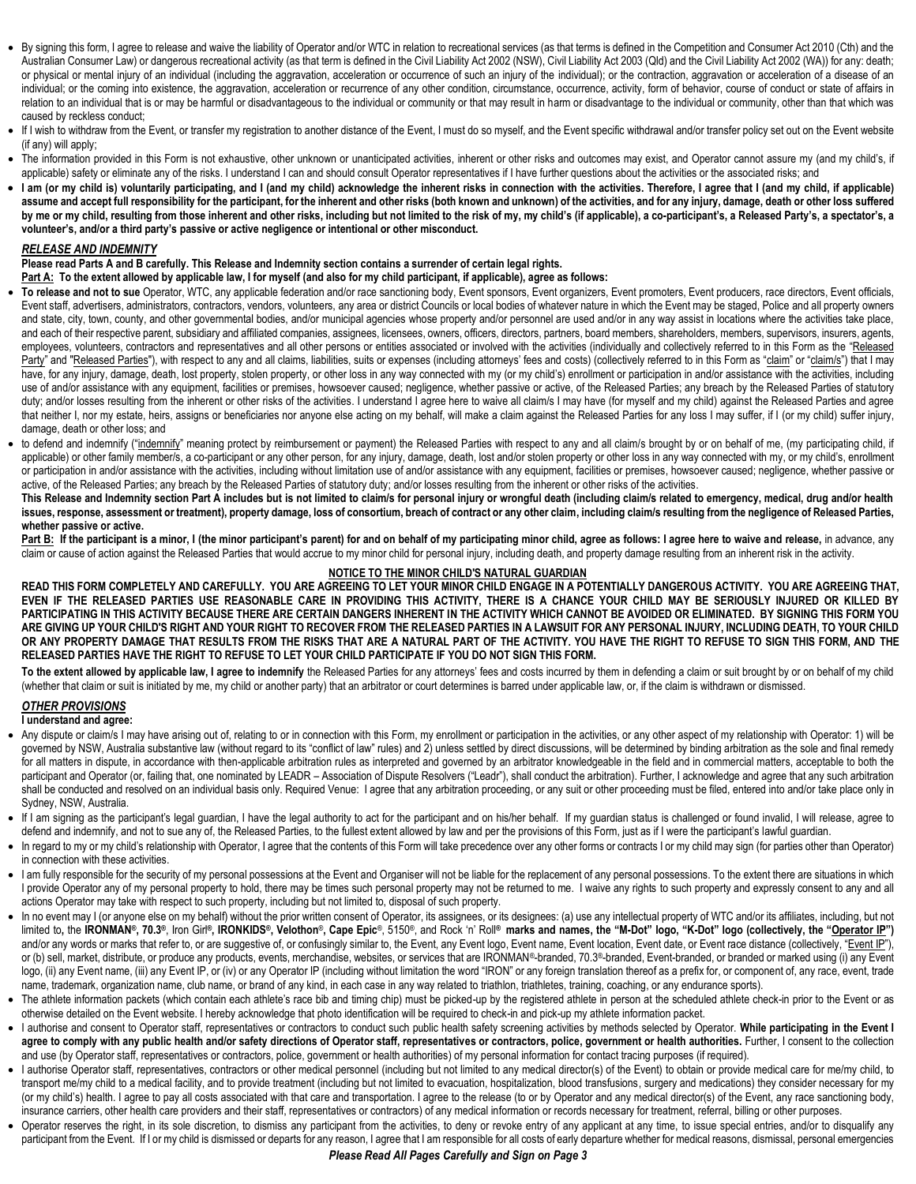- By signing this form, I agree to release and waive the liability of Operator and/or WTC in relation to recreational services (as that terms is defined in the Competition and Consumer Act 2010 (Cth) and the Australian Consumer Law) or dangerous recreational activity (as that term is defined in the Civil Liability Act 2002 (NSW), Civil Liability Act 2003 (Qld) and the Civil Liability Act 2002 (WA)) for any: death; or physical or mental injury of an individual (including the aggravation, acceleration or occurrence of such an injury of the individual); or the contraction, aggravation or acceleration of a disease of an individual; or the coming into existence, the aggravation, acceleration or recurrence of any other condition, circumstance, occurrence, activity, form of behavior, course of conduct or state of affairs in relation to an individual that is or may be harmful or disadvantageous to the individual or community or that may result in harm or disadvantage to the individual or community, other than that which was caused by reckless conduct;
- If I wish to withdraw from the Event, or transfer my registration to another distance of the Event, I must do so myself, and the Event specific withdrawal and/or transfer policy set out on the Event website (if any) will apply;
- The information provided in this Form is not exhaustive, other unknown or unanticipated activities, inherent or other risks and outcomes may exist, and Operator cannot assure my (and my child's, if applicable) safety or eliminate any of the risks. I understand I can and should consult Operator representatives if I have further questions about the activities or the associated risks; and
- I am (or my child is) voluntarily participating, and I (and my child) acknowledge the inherent risks in connection with the activities. Therefore, I agree that I (and my child, if applicable) **assume and accept full responsibility for the participant, for the inherent and other risks (both known and unknown) of the activities, and for any injury, damage, death or other loss suffered**  by me or my child, resulting from those inherent and other risks, including but not limited to the risk of my, my child's (if applicable), a co-participant's, a Released Party's, a spectator's, a **volunteer's, and/or a third party's passive or active negligence or intentional or other misconduct.**

#### *RELEASE AND INDEMNITY*

**Please read Parts A and B carefully. This Release and Indemnity section contains a surrender of certain legal rights.** 

**Part A: To the extent allowed by applicable law, I for myself (and also for my child participant, if applicable), agree as follows:**

- **To release and not to sue** Operator, WTC, any applicable federation and/or race sanctioning body, Event sponsors, Event organizers, Event promoters, Event producers, race directors, Event officials, Event staff, advertisers, administrators, contractors, vendors, volunteers, any area or district Councils or local bodies of whatever nature in which the Event may be staged, Police and all property owners and state, city, town, county, and other governmental bodies, and/or municipal agencies whose property and/or personnel are used and/or in any way assist in locations where the activities take place, and each of their respective parent, subsidiary and affiliated companies, assignees, licensees, owners, officers, directors, partners, board members, shareholders, members, supervisors, insurers, agents, employees, volunteers, contractors and representatives and all other persons or entities associated or involved with the activities (individually and collectively referred to in this Form as the "Released Party" and "Released Parties"), with respect to any and all claims, liabilities, suits or expenses (including attorneys' fees and costs) (collectively referred to in this Form as "claim" or "claim/s") that I may have, for any injury, damage, death, lost property, stolen property, or other loss in any way connected with my (or my child's) enrollment or participation in and/or assistance with the activities, including use of and/or assistance with any equipment, facilities or premises, howsoever caused; negligence, whether passive or active, of the Released Parties; any breach by the Released Parties of statutory duty; and/or losses resulting from the inherent or other risks of the activities. I understand I agree here to waive all claim/s I may have (for myself and my child) against the Released Parties and agree that neither I, nor my estate, heirs, assigns or beneficiaries nor anyone else acting on my behalf, will make a claim against the Released Parties for any loss I may suffer, if I (or my child) suffer injury, damage, death or other loss; and
- to defend and indemnify ("indemnify" meaning protect by reimbursement or payment) the Released Parties with respect to any and all claim/s brought by or on behalf of me, (my participating child, if applicable) or other family member/s, a co-participant or any other person, for any injury, damage, death, lost and/or stolen property or other loss in any way connected with my, or my child's, enrollment or participation in and/or assistance with the activities, including without limitation use of and/or assistance with any equipment, facilities or premises, howsoever caused; negligence, whether passive or active, of the Released Parties; any breach by the Released Parties of statutory duty; and/or losses resulting from the inherent or other risks of the activities.

**This Release and Indemnity section Part A includes but is not limited to claim/s for personal injury or wrongful death (including claim/s related to emergency, medical, drug and/or health**  issues, response, assessment or treatment), property damage, loss of consortium, breach of contract or any other claim, including claim/s resulting from the negligence of Released Parties, **whether passive or active.**

Part B: If the participant is a minor, I (the minor participant's parent) for and on behalf of my participating minor child, agree as follows: I agree here to waive and release, in advance, any claim or cause of action against the Released Parties that would accrue to my minor child for personal injury, including death, and property damage resulting from an inherent risk in the activity.

#### **NOTICE TO THE MINOR CHILD'S NATURAL GUARDIAN**

**READ THIS FORM COMPLETELY AND CAREFULLY. YOU ARE AGREEING TO LET YOUR MINOR CHILD ENGAGE IN A POTENTIALLY DANGEROUS ACTIVITY. YOU ARE AGREEING THAT, EVEN IF THE RELEASED PARTIES USE REASONABLE CARE IN PROVIDING THIS ACTIVITY, THERE IS A CHANCE YOUR CHILD MAY BE SERIOUSLY INJURED OR KILLED BY PARTICIPATING IN THIS ACTIVITY BECAUSE THERE ARE CERTAIN DANGERS INHERENT IN THE ACTIVITY WHICH CANNOT BE AVOIDED OR ELIMINATED. BY SIGNING THIS FORM YOU ARE GIVING UP YOUR CHILD'S RIGHT AND YOUR RIGHT TO RECOVER FROM THE RELEASED PARTIES IN A LAWSUIT FOR ANY PERSONAL INJURY, INCLUDING DEATH, TO YOUR CHILD OR ANY PROPERTY DAMAGE THAT RESULTS FROM THE RISKS THAT ARE A NATURAL PART OF THE ACTIVITY. YOU HAVE THE RIGHT TO REFUSE TO SIGN THIS FORM, AND THE RELEASED PARTIES HAVE THE RIGHT TO REFUSE TO LET YOUR CHILD PARTICIPATE IF YOU DO NOT SIGN THIS FORM.** 

To the extent allowed by applicable law, I agree to indemnify the Released Parties for any attorneys' fees and costs incurred by them in defending a claim or suit brought by or on behalf of my child (whether that claim or suit is initiated by me, my child or another party) that an arbitrator or court determines is barred under applicable law, or, if the claim is withdrawn or dismissed.

### *OTHER PROVISIONS*

#### **I understand and agree:**

- Any dispute or claim/s I may have arising out of, relating to or in connection with this Form, my enrollment or participation in the activities, or any other aspect of my relationship with Operator: 1) will be governed by NSW, Australia substantive law (without regard to its "conflict of law" rules) and 2) unless settled by direct discussions, will be determined by binding arbitration as the sole and final remedy for all matters in dispute, in accordance with then-applicable arbitration rules as interpreted and governed by an arbitrator knowledgeable in the field and in commercial matters, acceptable to both the participant and Operator (or, failing that, one nominated by LEADR – Association of Dispute Resolvers ("Leadr"), shall conduct the arbitration). Further, I acknowledge and agree that any such arbitration shall be conducted and resolved on an individual basis only. Required Venue: I agree that any arbitration proceeding, or any suit or other proceeding must be filed, entered into and/or take place only in Sydney, NSW, Australia.
- If I am signing as the participant's legal guardian, I have the legal authority to act for the participant and on his/her behalf. If my guardian status is challenged or found invalid, I will release, agree to defend and indemnify, and not to sue any of, the Released Parties, to the fullest extent allowed by law and per the provisions of this Form, just as if I were the participant's lawful guardian.
- In regard to my or my child's relationship with Operator, I agree that the contents of this Form will take precedence over any other forms or contracts I or my child may sign (for parties other than Operator) in connection with these activities.
- I am fully responsible for the security of my personal possessions at the Event and Organiser will not be liable for the replacement of any personal possessions. To the extent there are situations in which I provide Operator any of my personal property to hold, there may be times such personal property may not be returned to me. I waive any rights to such property and expressly consent to any and all actions Operator may take with respect to such property, including but not limited to, disposal of such property.
- In no event may I (or anyone else on my behalf) without the prior written consent of Operator, its assignees, or its designees: (a) use any intellectual property of WTC and/or its affiliates, including, but not limited to, the IRONMAN®, 70.3®, Iron Girl®, IRONKIDS®, Velothon®, Cape Epic®, 5150®, and Rock 'n' Roll® marks and names, the "M-Dot" logo, "K-Dot" logo (collectively, the "Operator IP") and/or any words or marks that refer to, or are suggestive of, or confusingly similar to, the Event, any Event logo, Event name, Event location, Event date, or Event race distance (collectively, "Event IP"), or (b) sell, market, distribute, or produce any products, events, merchandise, websites, or services that are IRONMAN®-branded, 70.3®-branded, Event-branded, or branded or marked using (i) any Event logo, (ii) any Event name, (iii) any Event IP, or (iv) or any Operator IP (including without limitation the word "IRON" or any foreign translation thereof as a prefix for, or component of, any race, event, trade name, trademark, organization name, club name, or brand of any kind, in each case in any way related to triathlon, triathletes, training, coaching, or any endurance sports).
- The athlete information packets (which contain each athlete's race bib and timing chip) must be picked-up by the registered athlete in person at the scheduled athlete check-in prior to the Event or as otherwise detailed on the Event website. I hereby acknowledge that photo identification will be required to check-in and pick-up my athlete information packet.
- I authorise and consent to Operator staff, representatives or contractors to conduct such public health safety screening activities by methods selected by Operator. **While participating in the Event I**  agree to comply with any public health and/or safety directions of Operator staff, representatives or contractors, police, government or health authorities. Further, I consent to the collection and use (by Operator staff, representatives or contractors, police, government or health authorities) of my personal information for contact tracing purposes (if required).
- I authorise Operator staff, representatives, contractors or other medical personnel (including but not limited to any medical director(s) of the Event) to obtain or provide medical care for me/my child, to transport me/my child to a medical facility, and to provide treatment (including but not limited to evacuation, hospitalization, blood transfusions, surgery and medications) they consider necessary for my (or my child's) health. I agree to pay all costs associated with that care and transportation. I agree to the release (to or by Operator and any medical director(s) of the Event, any race sanctioning body, insurance carriers, other health care providers and their staff, representatives or contractors) of any medical information or records necessary for treatment, referral, billing or other purposes.
- Operator reserves the right, in its sole discretion, to dismiss any participant from the activities, to deny or revoke entry of any applicant at any time, to issue special entries, and/or to disqualify any participant from the Event. If I or my child is dismissed or departs for any reason, I agree that I am responsible for all costs of early departure whether for medical reasons, dismissal, personal emergencies

### *Please Read All Pages Carefully and Sign on Page 3*